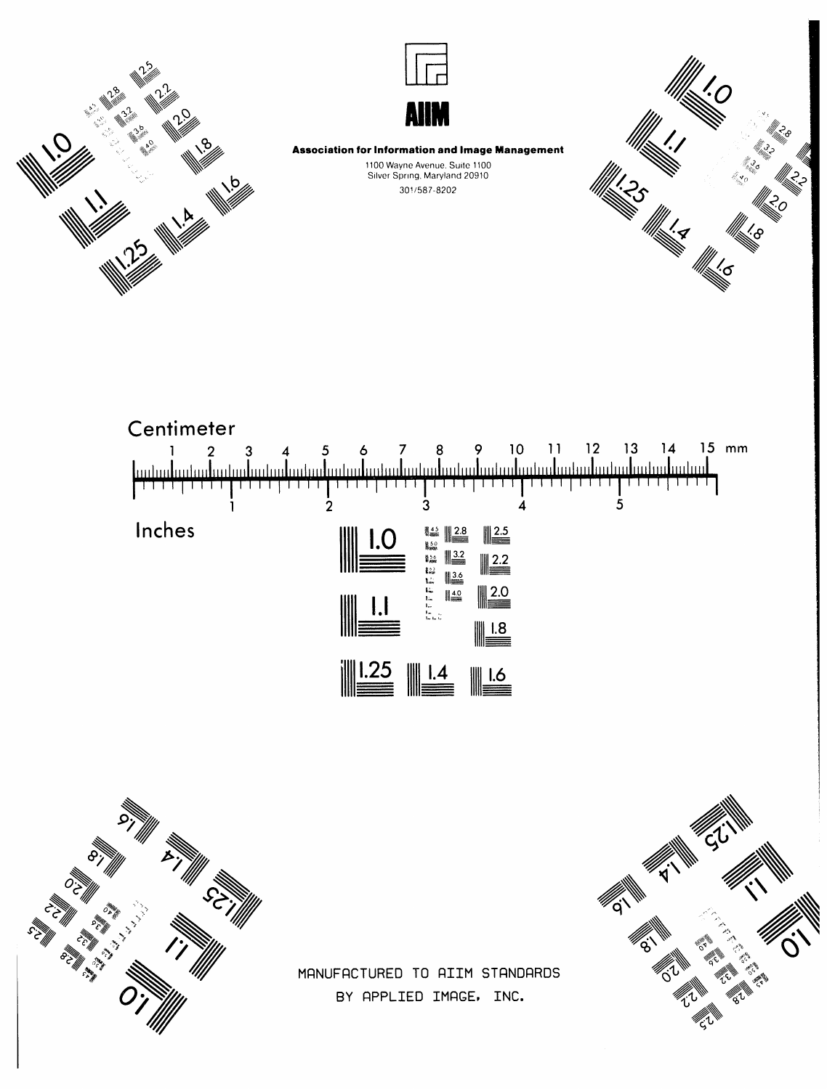





**Association for Information and Image Management** 1100 Wayne Avenue, Suite 1100<br>Silver Spring, Maryland 20910

301/587-8202







MANUFACTURED TO AIIM STANDARDS BY APPLIED IMAGE, INC.

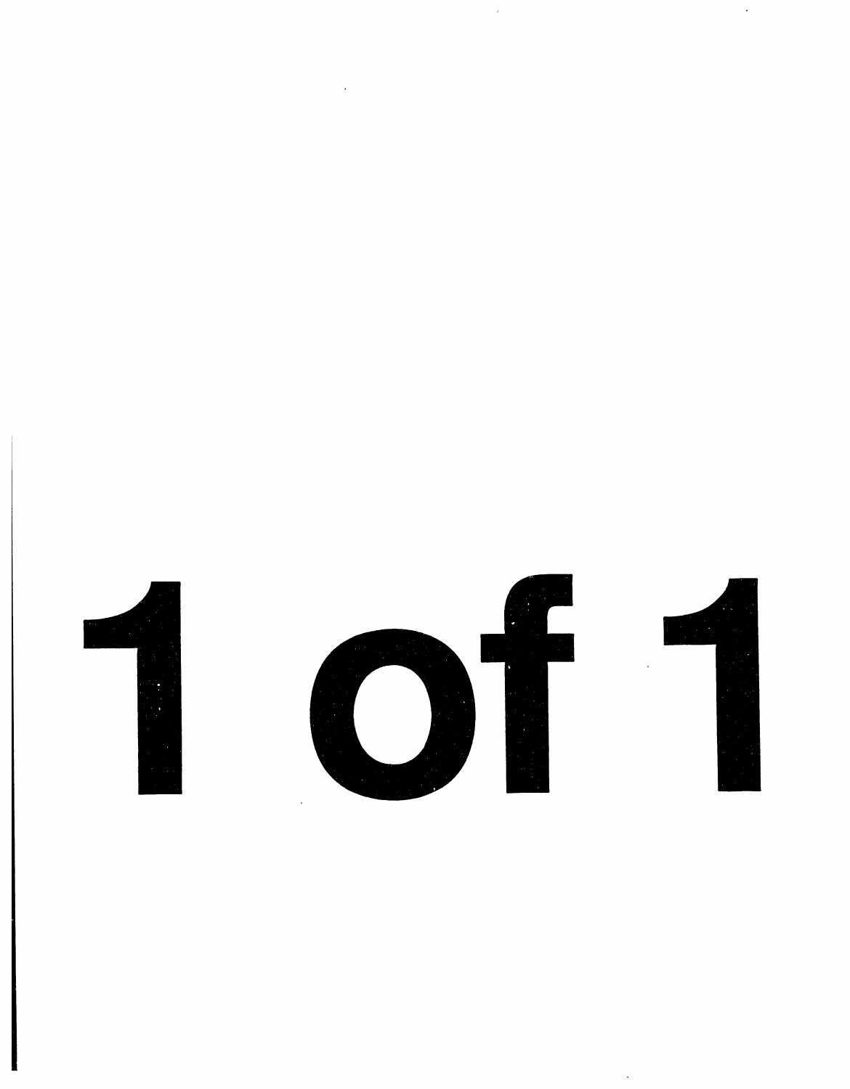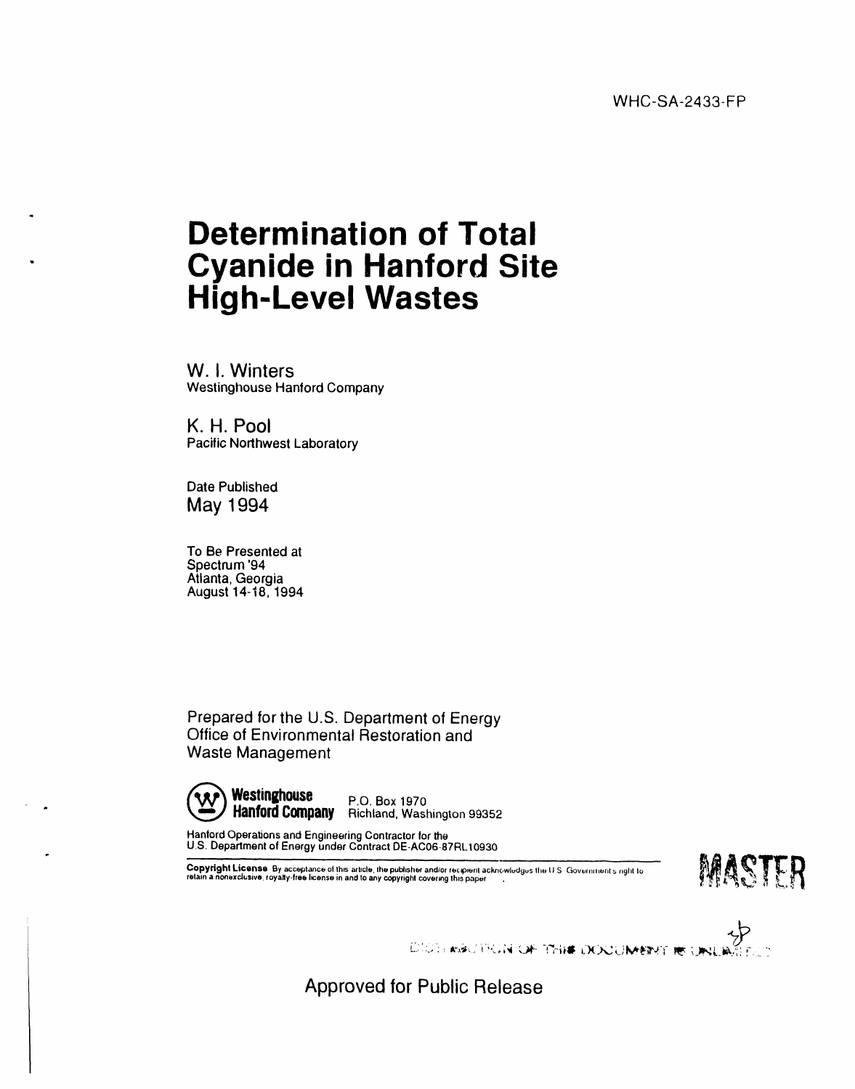# **Determination of Total** • **Cyanide in Hanford Site** High-Level Waste

W. I. Winters Westinghouse Hanford Company

K**.** H**.** Pool Pacific No**r**thwest Laboratory

Date Published May 1994

q

To **B**e **P**resented a**t** Spectrum **'**94 A**t**lan**t**a, Georg**i**a August 14-18, 1994

Prepared for the U.S. Department of Energy Office of Environmental Restoration and Waste Management



**Hanford Box 1970**<br>**Hanford Company Richland, Washington 99352** 

**Hanlord** Operations and Engineering Contractor for the U**S. Departm**e**nto**f **En**e**rgyund**e**rContractDE-AC06**-**8**7RL1**0930**

**Copyright License by acceptance of this article, the publisher and/or recipient acknowledges the U.S. Government's right to** 



 $\mathcal{P}_\text{max}$ 

Approved for Public Release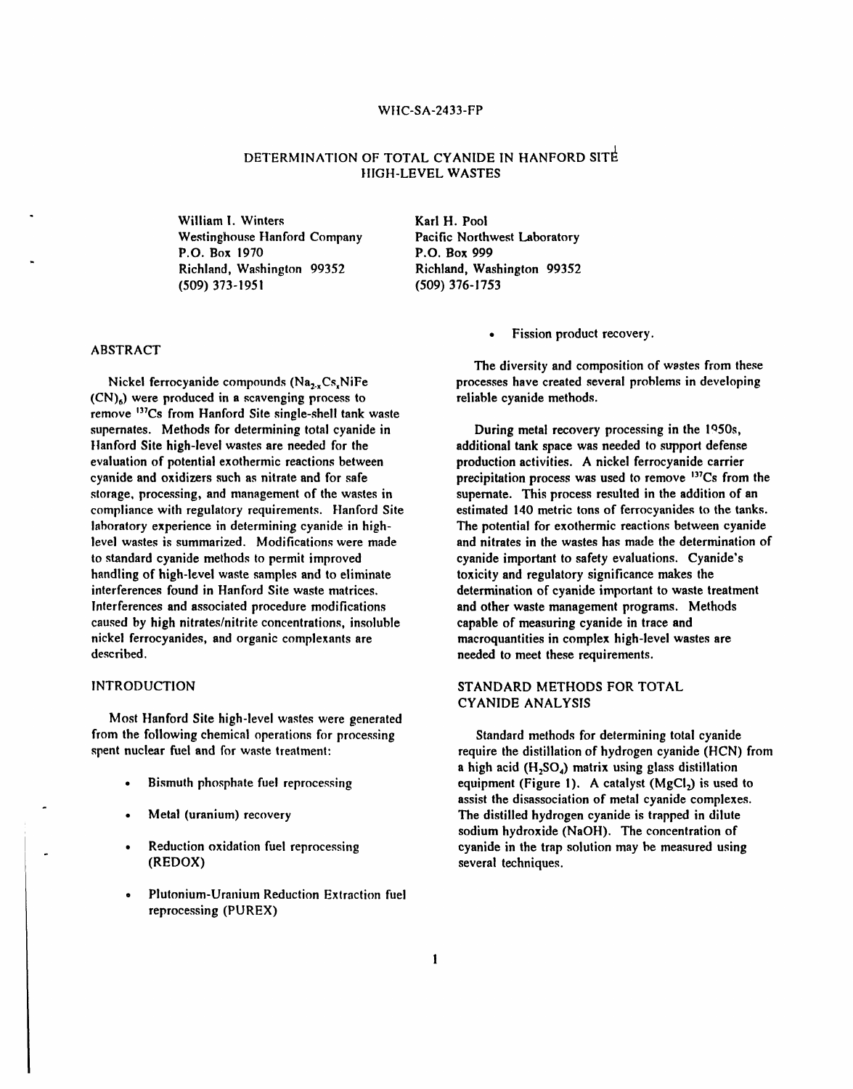### W**I**tC-SA-2433-FP

### DETERMINATION OF TOTAL CYANIDE IN HANFORD SITE tlIGH-LEVEL W*A*STES

" Wi**ll**iam **I**. Winter**s** Karl **H**. **P**o**o**l We**s**ti**n**ghouse Hanford *C*ompany Pac**ifi**c Northwe**s**t Laboratory P.O. Box 1970 P.O. **B**ox 999 Richland, Wa**s**hington 99352 Richland, Washing**t**on 99352 (509) 373-1951

### ABS**T**RA**C***T*

Nickel ferrocyanide compounds  $(Na_{2x}Cs_xNiFe$  processes have created se<br>N<sub>l<sup>6</sub>)</sup> were produced in a scavenging process to reliable cyanide methods.</sub>  $(CN)_6$ ) were produced in a scavenging process to **re***m*o**v**e w37**C**s**from** Hanf**ord** S**ite** s**i**n*g***le-**sh**ell t**ank **w**aste supernates. Methods for determining total cyanide in **During metal recovery processing in the 1950s**,<br>Hanford Site high-level wastes are needed for the **additional tank space was needed to support defense** evaluation of potential exothermic reactions between<br>cyanide and oxidizers such as nitrate and for safe storage, processing, and management of the wastes in supermate. This process resulted in the addition of an<br>compliance with regulatory requirements. Hanford Site stimated 140 metric tons of ferrocyanides to the tanks. compliance with regulatory requirements. Hanford Site<br>laboratory experience in determining cyanide in high**t**o sta*n*dard cy**a**nid*e* methods to permi**t** improved cyanide importan**t t**o safe**t**y evaluations. *C*yanide*'*s handling of high-level waste samples and to eliminate interferences found in Hanford Site waste matrices. Interferences and associated procedure modifications and other waste management programs. Methods caused by high nitrates/nitrite concentrations, insoluble capable of measuring cyanide in trace and caused by high nitrates/nitrite concentrations, insoluble nickel ferrocyanides, and organic complexants are **macroquantities in complex high-level wastes are** described.<br>described.

Most H**a**nford Site high-level was**t**es were generated from the following chemical operations for processing Standard methods for determining total cyanide<br>spent nuclear fuel and for waste treatment:<br>require the distillation of hydrogen cyanide (HCN)

- 
- 
- 
- **• P**lu**toni**u**m**-**Ur**an**i**um Reduc**ti**on Ex**tr**ac**t**ion fue**l** reprocessin**g** (PUREX)

**•** Fi**s**sion pro**d**uct r**e**c**o**v**e**ry.

**T**h**e d**ive**r**s**it**y **a**n**d co**mp**o**si**t**ion **of** wastes **f**r**o**m **t**hese

additional tank space was needed to support defense<br>production activities. A nickel ferrocyanide carrier precipitation process was used to remove <sup>137</sup>Cs from the<br>supernate. This process resulted in the addition of an The potential for exothermic reactions between cyanide level wastes is summarized. Modifications were made and ni**t**rates in the was**t**es has made the de**t**ermin**at**ion of in**t**erferences found in H**a**nford Si**t**e was**t**e ma**t**rices, determi**n**ati**o**n of cyanide i**m**portan**t** to waste treatment needed to meet these requirements.

### INTRODU*C*TION STANDARD METHODS FOR TO*T*AL **C**Y*A*NIDE *A*N*A*LYSIS

require the distillation of hydrogen cyanide (HCN) from a high acid (H2SO4) matrix using glass dis**t**illation **•** Bismuth phosphate fuel reprocessing equipment (Figure 1). A catalyst (MgCl<sub>2</sub>) is used to assis**t t**he disassoc**i**a**t**ion of me**t**al cyanide complexes. **•** Me**t**al **(**uranium) recovery The distilled hydrogen cyanide is **t**rapped in dilute sodium hydroxide (NaOH). The concen**t**ra**t**ion of **Provide Algebra 1 Reduction oxidation fuel reprocessing cyanide in the trap solution may be measured using (REDOX)** several techniques.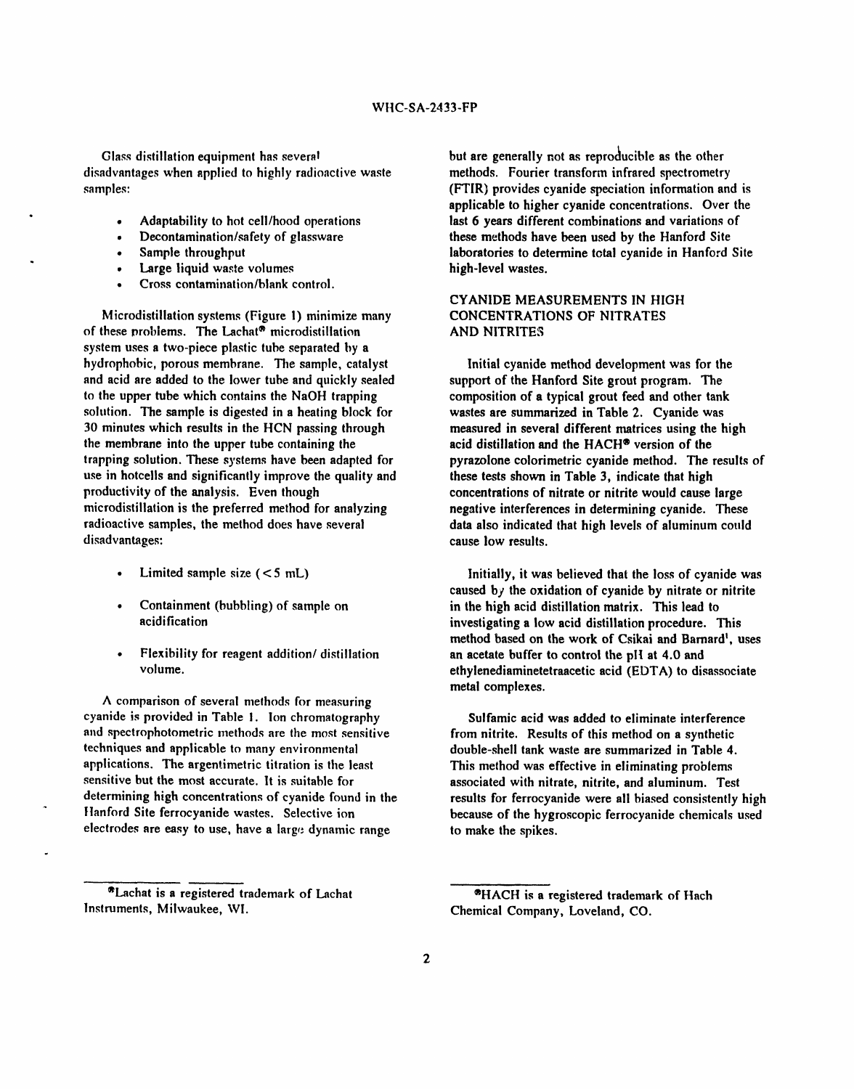### W**I**IC**-SA**-243**3-F**P

disadvantages when applied to highly radioactive waste samples: *<b>FTIR* provides cyanide speciation information and is

- 
- 
- 
- **• L**a**r**g**e l**iqui**d w**aste **vol**ume**s** h**i**gh**-l**e**v**e**l w**astes.
- **•** Cr**o**ss c**o**ntaminat**i**on*/***bl**ank c**o**ntr**ol.**

**I** Microdistillation systems (Figure 1) minimize many CONCENTRATI CONCENTRATI CONCENTRATI **of** these problems. The Lachat<sup>®</sup> microdistillation s**y**s**t**em uses a **two**-p**i**ec**e** p**l**ast**i**c **t**u**be** s**e**pa**rated** I,**y** a hydrophobic, porous membrane. The sample, catalyst limitial cyanide method development was for the and acid are added to the lower tube and quickly sealed support of the Hanford Site grout program. The and acid are added to the lower tube and quickly sealed<br>to the upper tube which contains the NaOH trapping solution. The sample is digested in a heating block for<br>30 minutes which results in the HCN passing through measured in several different matrices using the high 30 minutes which results in the HCN passing through<br>the membrane into the upper tube containing the the membrane into the upper tube containing the **acid distillation and the HACH<sup>®</sup> version of the trapping solution.** These systems have been adapted for **pyrazolone** colorimetric cyanide method. The use in hotcells and significantly improve the quality and<br>productivity of the analysis. Even though microdistillation is the preferred method for analyzing<br>radioactive samples, the method does have several radioactive samples, the method does have several data also indicated that high levels of aluminum could<br>disadvantages:<br>cause low results.

- 
- 
- 

A c**o***m*pa**r**is**o**n **of** s*e*ve**r**a**l** me**t**h**od**s **for** measu**r**in*g* and spectrophotometric methods are the most sensitive<br>techniques and applicable to many environmental techniques and applicable to many environmental dust double-shell tank waste are summarized in Table 4.<br>Applications. The argentimetric titration is the least This method was effective in eliminating problems applications. The argentimetric titration is the least This method was effective in eliminating problems<br>sensitive but the most accurate. It is suitable for associated with nitrate, nitrite, and aluminum. Tes sensitive but the most accurate. It is suitable for<br>determining high concentrations of cyanide found in the results for ferrocyanide were all biased consistently determining high concentrations of cyanide found in the example results for ferrocyanide were all biased consistently high<br>Hanford Site ferrocyanide wastes. Selective ion because of the hygroscopic ferrocyanide chemicals u e**l**ect**rod**es a**re** easy **to** us**e**, ha**v**e a **i**a**r***g*\_*;* **d**ynam**i**c **r**an**ge to** mak**e t**h**e** spikes.

Glass distillation equipment has several but are generally not as reproducible as the other<br>advantages when applied to highly radioactive waste methods. Fourier transform infrared spectrometry app**li**ca**ble to** hi*g*her cyani**d**e c**o**ncen**tr**a**tio**ns. O**v**e**r t**he Adaptability to hot cell/hood operations<br>
last 6 years different combinations and variations of<br>
Decontamination/safety of glassware<br>
these methods have been used by the Hanford Site Decontamination/safety of glassware these methods have been used by the Hanford Site<br>Sample throughput sample throughput and the sample throughput sample throughput **•** Samp**le t**h**ro**u*g*hpu**t l**a**bor**a**to**ries **to d**ete**r***m***i**n**e to**ta**l** cyan**ide** in **H**art**ford** S**it**e

# C**Y**A**NIDE ME**A**SUREME**N**T**S **IN HI**G**H**

composition of a typical grout feed and other tank<br>wastes are summarized in Table 2. Cyanide was pyrazolone colorimetric cyanide method. The results of these tests shown in Table 3, indicate that high concentrations of nitrate or nitrite would cause large<br>negative interferences in determining cyanide. These  $cause low results.$ 

• **L**imi**t**ed samp**l**e s**i**ze (< 5 mL**)** Initial**l***y***,** i**t** was be**l**ieved that the loss of cyan**i**d**e** was caused b**y** the oxidation of c*y*anid**e** by nitrat**e** or nitrit**e ••** Containment (bubbling) of sample on in the high acid distillation matrix. This lead to acidification rocedure. <sup>1</sup> ac**i**d**i**ficat**io**n **in**ves**t**iga**t**ing a **low** ac**id di**s**t**i**ll**a**ti**on p**r**oce**d**u**r**e**.** This m**et**h**od** base**d o**n the **wor**k **of C**sika**i** an**d B**arna**rd** I**,** uses Flexibility for reagent addition/ distillation an acetate buffer to control the pH at 4.0 and<br>volume. **vol**ume, ethy**l**ene**di**a**mi**netet**r**aacet**i**c aci**d** (**E**D**T**A) t**o di**sas**so**c**i**a**t***e* **m**eta**l** c**om**p**l**exes.

> Sulfamic acid was added to eliminate interference<br>from nitrite. Results of this method on a synthetic because of the hygroscopic ferrocyanide chemicals used<br>to make the spikes.

<sup>\*</sup>**L**acha**t i**s a re*g***i**s**t**er**ed t**ra**d**em**ark** o**f L**achat ®**H**A**CH i**s a re**g**is**t**ered **t**ra**d**emark **o**f **H**ach

**I**nstruments, M**ilw**auke**e**, **W**I. Ch**e**m**i**ca**l** C**om**pany, **Lov**e**l**an**d,** CO.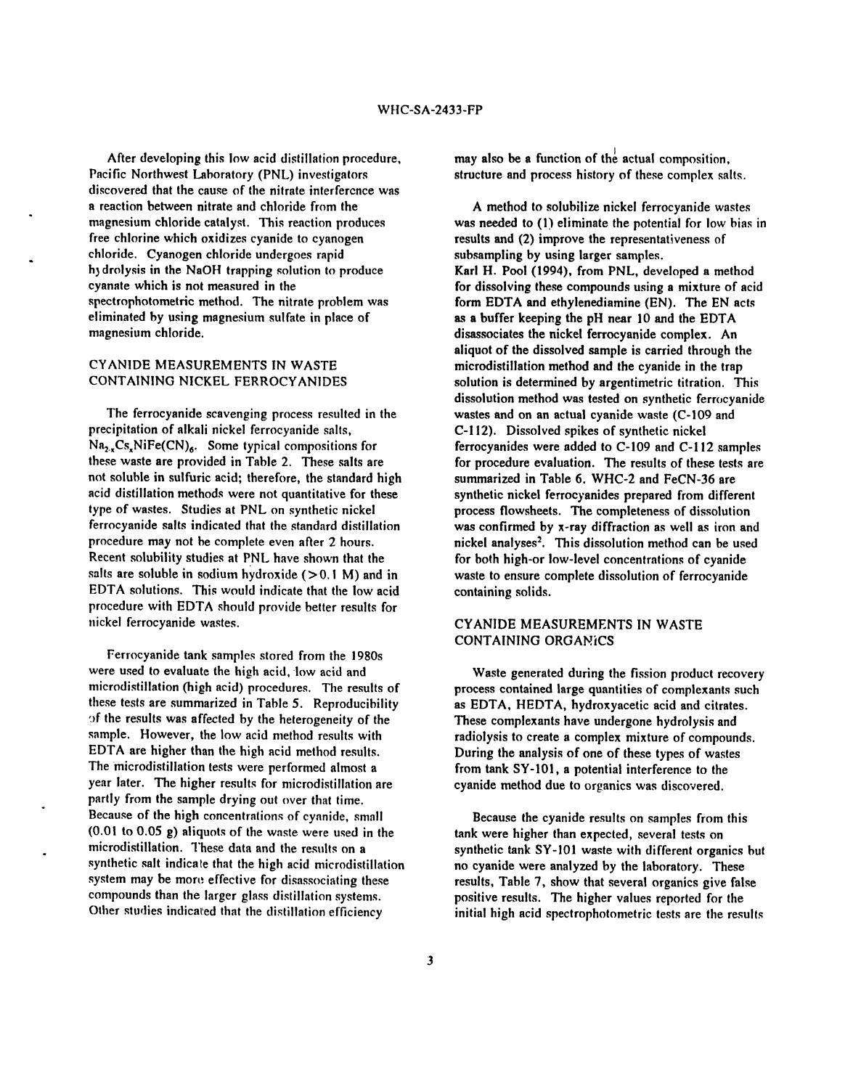After developing this low acid distillation procedure, may also be a function of the actual composition,<br>Pacific Northwest Laboratory (PNL) investigators structure and process history of these complex sall **di**s**covered t**h**at t**h**e cause of** th**e nit**r**ate inte**r**ferenc**e w**as** a reaction between nitrate and chloride from the **A** method to solubilize nickel ferrocyanide wastes<br>magnesium chloride catalyst. This reaction produces was needed to (1) eliminate the potential for low bias **. c**h**lo**r**ide**. C**yanogen c**h**lorid**e **undergoes rapid sub**s**a**m**pling by using la**r**ger samples**. hy drolysis in the NaOH trapping solution to produce<br>cyanate which is not measured in the the strong for dissolving these compounds using a mixture of aci c**yanate w**h**ic**h **is not measur**e**d in t**he **fo**r **dissolving t**he**s**e **compounds using a** m**ixture of acid** spectrophotometric method. The nitrate problem was form EDTA and ethylenediamine (EN). The EN acts<br>eliminated by using magnesium sulfate in place of as a buffer keeping the pH near 10 and the EDTA eliminated by using magnesium sulfate in place of **as a buffer keeping the pH near 10 and the EDTA**<br>disassociates the nickel ferrocyanide complex. An

The ferrocyanide scavenging process resulted in the wastes and on an actual cyanide waste (C-109 and precipitation of alkali nickel ferrocyanide salts,<br>  $N_{2x}Cs_xNiFe(CN)_{6}$ . Some typical compositions for ferrocyanides were added to C-109 and C-11  $Na_{2x}Cs_{x}NiFe(CN)_{6}$ . Some typical compositions for ferrocyanides were added to C-109 and C-112 samples these waste are provided in Table 2. These salts are for procedure evaluation. The results of these tests are not soluble in sulfuric acid; therefore, the standard high<br>acid distillation methods were not quantitative for these acid distillation methods were not quantitative for these synthetic nickel ferrocyanides prepared from different<br>type of wastes. Studies at PNL on synthetic nickel street process flowsheets. The completeness of dissolution ferrocyanide salts indicated that the standard distillation<br>procedure may not be complete even after 2 hours. procedure may not be complete even after 2 hours.<br>Recent solubility studies at PNL have shown that the for both high-or low-level concentrations of cyanide Recent solubility studies at PNL have shown that the for both high-or low-level concentrations of cyanide salts are soluble in sodium hydroxide  $(>0.1 \text{ M})$  and in waste to ensure complete dissolution of ferrocyanide **ED***T***A solutions**. Th**i**s w**ould indi**c**ate t**h**at t**h**e lo**w ac**id containing solids. procedure** w**it**h E**D**T**A** sh**ould provide** b**etter result**s **for**

F**errocyanid**e **tank sam**p**l**es **stored from t**h**e 1**9**80s** were used to evaluate the high acid, low acid and<br>microdistillation (high acid) procedures. The results of process contained large quantities of complexants such microdistillation (high acid) procedures. The results of process contained large quantities of complexants such<br>these tests are summarized in Table 5. Reproducibility as EDTA, HEDTA, hydroxyacetic acid and citrates. these tests are summarized in Table 5. Reproducibility<br>of the results was affected by the heterogeneity of the These complexants have undergone hydrolysis and of the results was affected by the heterogeneity of the These complexants have undergone hydrolysis and<br>sample. However, the low acid method results with radiolysis to create a complex mixture of compoun sample. However, the low acid method results with radiolysis to create a complex mixture of compounds.<br>EDTA are higher than the high acid method results. During the analysis of one of these types of wastes EDTA are higher than the high acid method results.<br>The microdistillation tests were performed almost a<br>from tank SY-101, a potential interference to the The microdistillation tests were performed almost a<br>year later. The higher results for microdistillation are<br>year later. The higher results for microdistillation are<br>cyanide method due to organics was discovered **par**t**ly from** the **sample drying ou**t o**ver t**h**at time**. Because of the high concentrations of cyanide, small<br>(0.01 to 0.05 g) aliquots of the waste were used in the tank were higher than expected, several tests on  $(0.01 \text{ to } 0.05 \text{ g})$  aliquots of the waste were used in the tank were higher than expected, several tests on microdistillation. These data and the results on a microdistillation. These data and the results on a<br>synthetic tank SY-101 waste with different organics but<br>synthetic salt indicate that the high acid microdistillation on evanide were analyzed by the laboratory. These synthetic salt indicate that the high acid microdistillation<br>system may be more effective for disassociating these results, Table 7, show that several organics give fall system may be more effective for disassociating these entirely results, Table 7, show that several organics give false<br>compounds than the larger glass distillation systems. The positive results. The higher values reported

structure and process history of these complex salts.

magnesium chloride catalyst. This reaction produces was needed to (1) eliminate the potential for low bias in<br>free chlorine which oxidizes cyanide to cyanogen results and (2) improve the representativeness of results and (2) improve the representativeness of<br>subsampling by using larger samples. **magnesium chloride, disassociat**e**s the nickel f**e**rrocyanide compl**e**x. An aliquot of the dissolv**ed **sample is carri**ed **through the CYANI**D**E MEA**S**UREM**E**NT**S **IN** W**A**S**TE microdistillation method and th**e **cyanid**e **in th**e **trap** solution is determined by argentimetric titration. This **di**ss**ol**u**tion met**h**od wa**s **te**s**t**e**d on** s**y**n**t**he**ti**c **f**er**r**oc**y**a**nide** for procedure evaluation. The results of these tests are<br>summarized in Table 6. WHC-2 and FeCN-36 are process flowsheets. The completeness of dissolution<br>was confirmed by  $x$ -ray diffraction as well as iron and waste to ensure complete dissolution of ferrocyanide<br>containing solids.

### n**i**c**kel ferro**c**yanide** w**a**s**te**s. **CYA**N**IDE MEASUREMENTS IN** W**AS**T**E CONTAINI**N**G ORGAN**I**CS**

cyanide method due to organics was discovered.

compounds than the larger glass distillation systems.<br>
Other studies indicated that the distillation efficiency<br>
initial high acid spectrophotometric tests are the rest initial high acid spectrophotometric tests are the results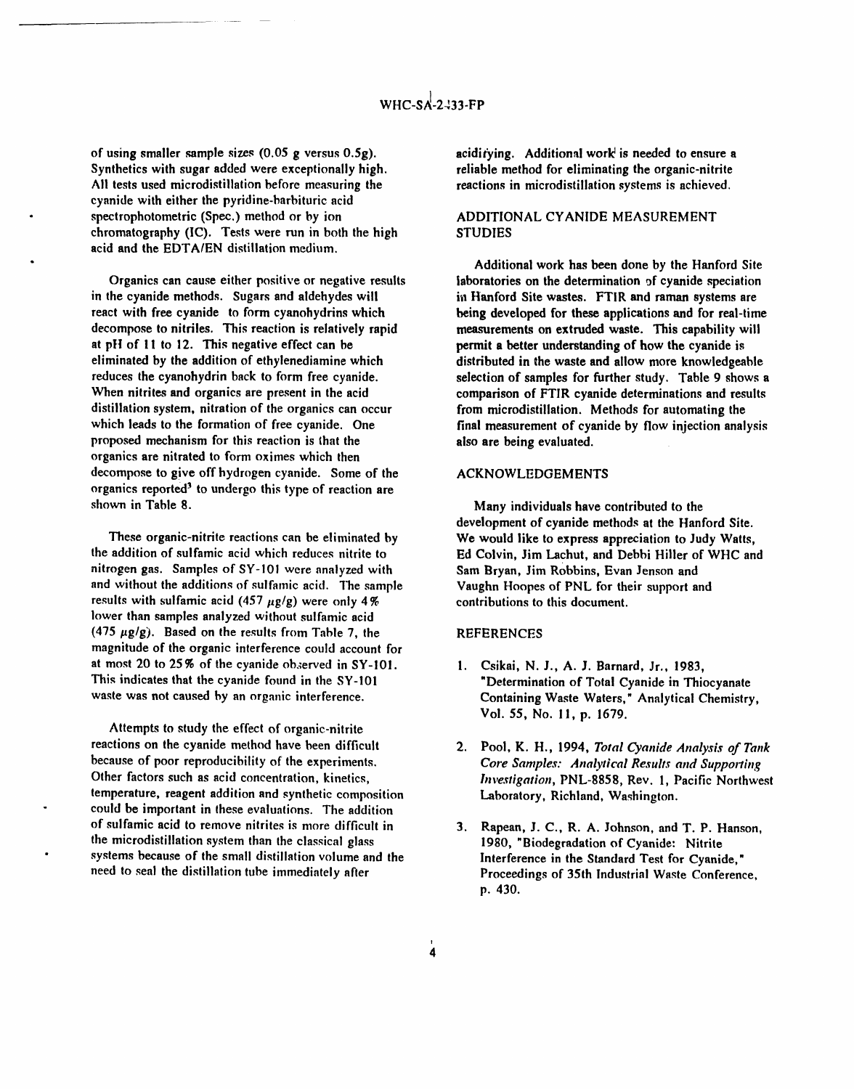of using smaller sample sizes (0.05 g versus 0.5g). a sacidifying. Additional work is needed to ensure a synthetics with sugar added were exceptionally high. <br>Synthetics with sugar added were exceptionally high. The reliab Synthetics with sugar added were exceptionally high.<br>All tests used microdistillation before measuring the securions in microdistillation systems is achieved. All tests used microdistillation before measuring the c**yanide wit**h **eit**h**er t**h**e pyridine-**b**arbituri**c **a**c**id - spectrop**hot**o**m**etri**c (**Spe**c.**) met**h**od or by ion ADDI**T**IO**N**AL** C**YANIDE M**E**A**S**UR**E**M**E**N***T* c**h**r**om**a**togr**a**phy (**I**C). T**e**s**t**s wer**e **run in bot**h **t**h**e** h**i**g**h STUD**I**ES a**c**id and** th**e ED**T**A***/***EN distillation** m**ediu**m.

Organics can cause either positive or negative results in the determination of cyanide speciation<br>in the cyanide methods. Sugars and aldehydes will in Hanford Site wastes. FTIR and raman systems are in the cyanide methods. Sugars and aldehydes will in Hanford Site wastes. FTIR and raman systems are<br>react with free cyanide to form cyanohydrins which being developed for these applications and for real-tin decompose to nitriles. This reaction is relatively rapid at pH of 11 to 12. This negative effect can be subsetionally permit a better understanding of how the cyanide is<br>eliminated by the addition of ethylenediamine which subsetional distributed in the waste and allow more knowl eliminated by the addition of ethylenediamine which<br>reduces the cyanohydrin back to form free cyanide.<br>selection of samples for further study. Table 9 shows a reduces the cyanohydrin back to form free cyanide.<br>When nitrites and organics are present in the acid<br>when nitrites and organics are present in the acid<br>comparison of FTIR cyanide determinations and results When nitrites and organics are present in the acid<br>distillation system, nitration of the organics can occur<br>from microdistillation. Methods for automating the distillation system, nitration of the organics can occur<br>which leads to the formation of free cyanide. One final measurement of cyanide by flow injection anal **proposed** mech**anis**m **for t**h**is reaction is t**h**at t**h**e** a**lso a**r**e being evaluated**. o**rg**a**ni**c**s** a**re ni**t**rat**ed **t**o **f**o**rm oxi**m**es w**h**i**c**h t**h**en d**ec**o**m**po**s**e to** g**ive off** h**ydr**o**gen** c**yanide. Some of t**h**e A**CK**NO**W**LEDGEMENTS organi**c**s r**e**p**o**rted**s **to undergo t**h**is type of rea**c**tion are**

These organic-nitrite reactions can be eliminated by We would like to express appreciation to Judy Watts,<br>the addition of sulfamic acid which reduces nitrite to Bell Colvin, Jim Lachut, and Debbi Hiller of WHC an **nitrogen** g**as. Samples of** S**Y-101** w**ere analyzed** w**it**h Sam **Bry**a**n, Ji**m **Ro**bb**ins, Evan Jen**s**on and results** with sulfamic acid  $(457 \mu g/g)$  were only  $4\%$ **lo**w**e**r **t**h**an samples** a**nalyzed wit**h**out sulfa**m**ic a**c**id** (4**75***/x***g***/*g)**. Based on** th**e r**es**ult**s **f**rom **Table 7,** th**e RE**F**EREN**C**ES magnitude of t**h**e organi**c **interferen**c**e could ac**c**ount for** at most 20 to 25% of the cyanide observed in SY-101. 1. Csikai, N. J., A. J. Barnard, Jr., 1983,<br>This indicates that the cyanide found in the SY-101 "Determination of Total Cyanide in Thio This indicates that the cyanide found in the SY-101 This indicates in Thiocyanate<br>waste was not caused by an organic interference. The Containing Waste Waters," Analytical Chemistry

**Attempt**s **to** s**tudy t**h**e effect of organi**c**-nitrite** reactions on the cyanide method have been difficult **1992**. Pool, K. H., 1994, Total Cyanide Analysis of Tank<br>because of poor reproducibility of the experiments. Core Samples: Analytical Results and Supporting because of poor reproducibility of the experiments.<br>Other factors such as acid concentration, kinetics, The Samples: Analytical Results and Supporting<br>Investigation, PNL-8858, Rev. 1, Pacific Northwe **te**m**perature,** r**eagent addi**t**ion and synt**he**ti**c co**mpo**s**ition Labo**r**atory, Ri**chl**and, Wa**sh**ington. - could be impo**r**tant in** th**e**s**e evaluations**. **T**h**e addition** the microdistillation system than the classical glass<br>systems because of the small distillation volume and the "systems because of the small distillation volume and the Sunterference in the Standard Test for Cyanide,"<br>The Real the distillation tube immediately after Sunter Strocedings of 35th Industrial Waste Conference

Additional work has been done by the Hanford Site<br>Organics can cause either positive or negative results<br>**iaboratories on the determination** of cyanide speciation being developed for these applications and for real-time<br>measurements on extruded waste. This capability will final measurement of cyanide by flow injection analysis also are being evaluated.

**s**h**o**w**n in Table 8. Many individuals** ha**ve** c**ontri**b**uted to t**h**e development of cyanide met**h**ods** a**t t**h**e Hanford Site.** Ed Colvin, Jim Lachut, and Debbi Hiller of WHC and Vaughn Hoopes of PNL for their support and<br>contributions to this document.

- Containing Waste Waters," Analytical Chemistry, V**ol. 55, No. 11, p. 1679.**
- Investigation, PNL-8858, Rev. 1, Pacific Northwest<br>Laboratory, Richland, Washington.
- 3. Rapean, J. C., R. A. Johnson, and T. P. Hanson, 1980, "Biodegradation of Cyanide: Nitrite Proceedings of 35th Industrial Waste Conference, **p. 430.**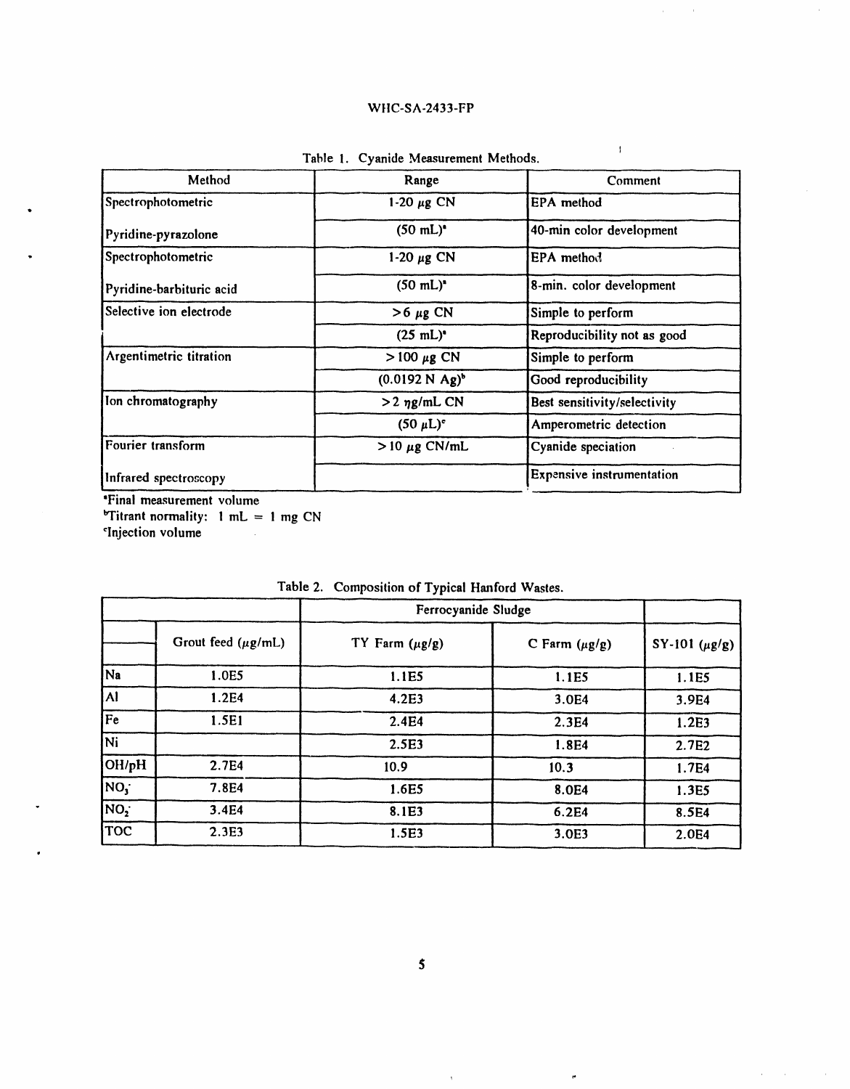$\mathcal{L}$ 

 $\sim 0.1$ 

 $\hat{\boldsymbol{\theta}}$ 

 $\alpha$ 

 $\alpha$  .

 $\mathbf{I}$ 

| Method                   | Range                          | Comment                          |
|--------------------------|--------------------------------|----------------------------------|
| Spectrophotometric       | 1-20 $\mu$ g CN                | <b>EPA</b> method                |
| Pyridine-pyrazolone      | $(50 \text{ mL})$ <sup>*</sup> | 40-min color development         |
| Spectrophotometric       | 1-20 $\mu$ g CN                | EPA method                       |
| Pyridine-barbituric acid | $(50 \text{ mL})^*$            | 8-min. color development         |
| Selective ion electrode  | $>6 \mu g$ CN                  | Simple to perform                |
|                          | $(25 \text{ mL})^4$            | Reproducibility not as good      |
| Argentimetric titration  | $>100 \mu g$ CN                | Simple to perform                |
|                          | $(0.0192 N Ag)^{b}$            | Good reproducibility             |
| Ion chromatography       | $>2$ ng/mL CN                  | Best sensitivity/selectivity     |
|                          | $(50 \mu L)^c$                 | Amperometric detection           |
| Fourier transform        | $> 10 \mu g$ CN/mL             | Cyanide speciation               |
| Infrared spectroscopy    |                                | <b>Expensive instrumentation</b> |

# Table 1. Cyanide Measurement Methods.

"Final measurement volume"  $\frac{1}{2}$  Titrant normality: 1 mL = 1 mg CN

Injection volume  $\sim 10$ 

|                          |                         | Ferrocyanide Sludge |                    |                    |
|--------------------------|-------------------------|---------------------|--------------------|--------------------|
|                          | Grout feed $(\mu g/mL)$ | TY Farm $(\mu g/g)$ | C Farm $(\mu g/g)$ | SY-101 $(\mu g/g)$ |
| Na)                      | 1.0E5                   | 1.1E5               | 1.1E5              | 1.1E5              |
| A1                       | 1.2E4                   | 4.2E3               | 3.0E4              | 3.9E4              |
| $\overline{\mathbf{F}e}$ | 1.5E1                   | 2.4E4               | 2.3E4              | 1.2E3              |
| Ni                       |                         | 2.5E3               | 1.8E4              | 2.7E2              |
| OH/pH                    | 2.7E4                   | 10.9                | 10.3               | 1.7E4              |
| NO <sub>3</sub>          | 7.8E4                   | 1.6E5               | 8.0E4              | 1.3E5              |
| $NO_2$                   | 3.4E4                   | 8.1E3               | 6.2E4              | 8.5E4              |
| TOC                      | 2.3E3                   | 1.5E3               | 3.0E3              | 2.0E4              |

|  | Table 2. Composition of Typical Hanford Wastes. |  |  |  |
|--|-------------------------------------------------|--|--|--|
|--|-------------------------------------------------|--|--|--|

 $\bar{A}$ 

 $\mathbf{r}$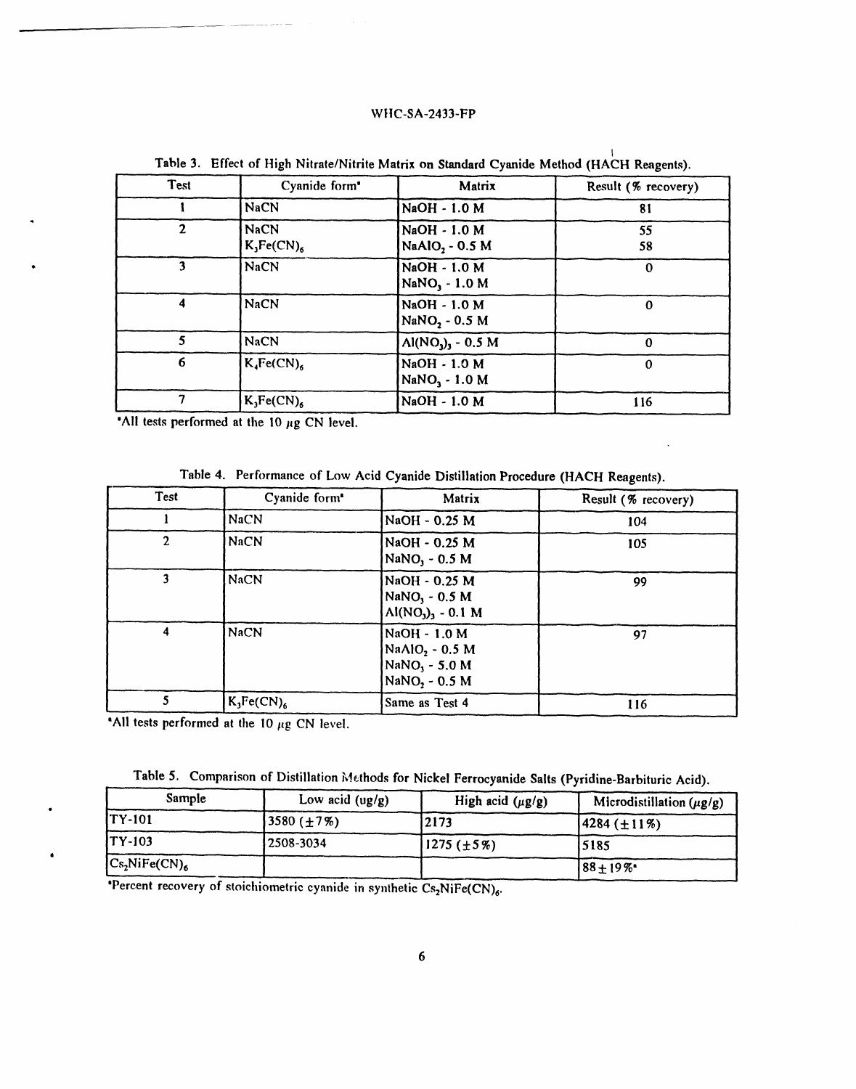| <b>Test</b>  | Cyanide form <sup>*</sup>    | Matrix                                     | Result (% recovery) |
|--------------|------------------------------|--------------------------------------------|---------------------|
|              | <b>NaCN</b>                  | NaOH - 1.0 M                               | 81                  |
| $\mathbf{2}$ | <b>NaCN</b><br>$K_3Fe(CN)_6$ | NaOH - 1.0 M<br>NaAlO <sub>2</sub> - 0.5 M | 55<br>58            |
| 3.           | <b>NaCN</b>                  | NaOH - 1.0 M<br>NaNO <sub>3</sub> - 1.0 M  | 0                   |
| 4            | <b>NaCN</b>                  | NaOH - 1.0 M<br>NaNO <sub>2</sub> - 0.5 M  | 0                   |
| 5            | <b>NaCN</b>                  | $Al(NO3)3 - 0.5 M$                         | $\Omega$            |
| 6            | $K_4Fe(CN)_6$                | NaOH - 1.0 M<br>NaNO <sub>3</sub> - 1.0 M  | $\boldsymbol{0}$    |
|              | $K_3Fe(CN)_{6}$              | NaOH - 1.0 M                               | 116                 |

Table 3. Effect of High Nitrate/Nitrite Matrix on Standard Cyanide Method (HACH Reagents).

'All tests performed at the 10  $\mu$ g CN level.

| Table 4. Performance of Low Acid Cyanide Distillation Procedure (HACH Reagents). |  |  |  |  |
|----------------------------------------------------------------------------------|--|--|--|--|

| Test | Cyanide form <sup>*</sup> | Matrix                                                                                               | Result (% recovery) |
|------|---------------------------|------------------------------------------------------------------------------------------------------|---------------------|
|      | <b>NaCN</b>               | NaOH - 0.25 M                                                                                        | 104                 |
| 2    | <b>NaCN</b>               | NaOH - 0.25 M<br>NaNO <sub>1</sub> - 0.5 M                                                           | 105                 |
| 3    | <b>NaCN</b>               | NaOH - 0.25 M<br>$NaNO3 - 0.5 M$<br>$AI(NO3)3 - 0.1 M$                                               | 99                  |
|      | <b>NaCN</b>               | NaOH - 1.0 M<br>NaAlO <sub>2</sub> - 0.5 M<br>NaNO <sub>3</sub> - 5.0 M<br>NaNO <sub>2</sub> - 0.5 M | 97                  |
|      | $K_3Fe(CN)_6$             | Same as Test 4                                                                                       | 116                 |

"All tests performed at the 10  $\mu$ g CN level.

 $\blacksquare$ 

Table 5. Comparison of Distillation Methods for Nickel Ferrocyanide Salts (Pyridine-Barbituric Acid).

| Sample             | Low acid $(ug/g)$ | High acid $(\mu g/g)$ | Microdistillation $(\mu g/g)$ |
|--------------------|-------------------|-----------------------|-------------------------------|
| ITY-101            | $3580 (\pm 7\%)$  | 2173                  | $ 4284 (\pm 11\%)$            |
| <b>TY-103</b>      | 2508-3034         | $1275 (\pm 5\%)$      | 5185                          |
| $CS_2NiFe(CN)_{6}$ |                   |                       | $188 + 19\%$                  |

Percent recovery of stoichiometric cyanide in synthetic Cs<sub>2</sub>NiFe(CN)<sub>6</sub>.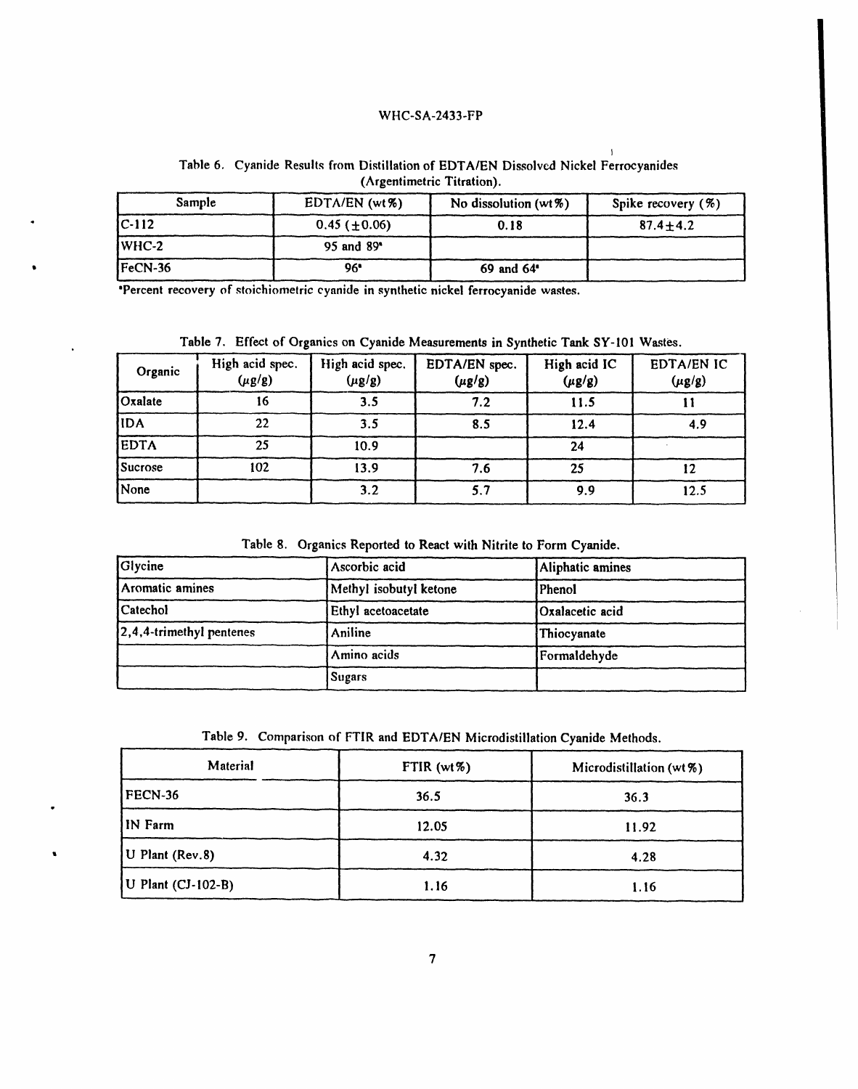$\mathbf{j}$ 

|  |  |                            |  | Table 6. Cyanide Results from Distillation of EDTA/EN Dissolved Nickel Ferrocyanides |
|--|--|----------------------------|--|--------------------------------------------------------------------------------------|
|  |  | (Argentimetric Titration). |  |                                                                                      |

| Sample      | $EDT$ $A/EN$ (wt %) | No dissolution $(wt\%)$    | Spike recovery $(\%)$ |
|-------------|---------------------|----------------------------|-----------------------|
| $IC-112$    | $0.45 \ (\pm 0.06)$ | 0.18                       | $87.4 \pm 4.2$        |
| $IWHC-2$    | 95 and 89°          |                            |                       |
| $[FeCN-36]$ | 96"                 | $69$ and $64$ <sup>*</sup> |                       |

\*Percent recovery of stoichiometric cyanide in synthetic nickel ferrocyanide wastes.

| Organic     | High acid spec.<br>$(\mu g/g)$ | High acid spec.<br>$(\mu g/g)$ | EDTA/EN spec.<br>$(\mu g/g)$ | High acid IC<br>$(\mu g/g)$ | <b>EDTA/EN IC</b><br>$(\mu g/g)$ |
|-------------|--------------------------------|--------------------------------|------------------------------|-----------------------------|----------------------------------|
| Oxalate     | 16                             | 3.5                            | 7.2                          | 11.5                        |                                  |
| <b>IDA</b>  | 22                             | 3.5                            | 8.5                          | 12.4                        | 4.9                              |
| <b>EDTA</b> | 25                             | 10.9                           |                              | 24                          |                                  |
| Sucrose     | 102                            | 13.9                           | 7.6                          | 25                          | 12                               |
| None        |                                | 3.2                            |                              | 9.9                         | 12.5                             |

Table 7. Effect of Organics on Cyanide Measurements in Synthetic Tank SY-101 Wastes.

Table 8. Organics Reported to React with Nitrite to Form Cyanide.

| Glycine                     | Ascorbic acid          | Aliphatic amines |
|-----------------------------|------------------------|------------------|
| Aromatic amines             | Methyl isobutyl ketone | Phenol           |
| Catechol                    | Ethyl acetoacetate     | Oxalacetic acid  |
| $2,4,4$ -trimethyl pentenes | Aniline                | Thiocyanate      |
|                             | Amino acids            | Formaldehyde     |
|                             | <b>Sugars</b>          |                  |

|  | Table 9. Comparison of FTIR and EDTA/EN Microdistillation Cyanide Methods |  |
|--|---------------------------------------------------------------------------|--|
|  |                                                                           |  |

| Material             | FTIR $(wt\%)$ | Microdistillation (wt%) |
|----------------------|---------------|-------------------------|
| FECN-36              | 36.5          | 36.3                    |
| IN Farm              | 12.05         | 11.92                   |
| U Plant (Rev.8)      | 4.32          | 4.28                    |
| U Plant $(Cl-102-B)$ | 1.16          | 1.16                    |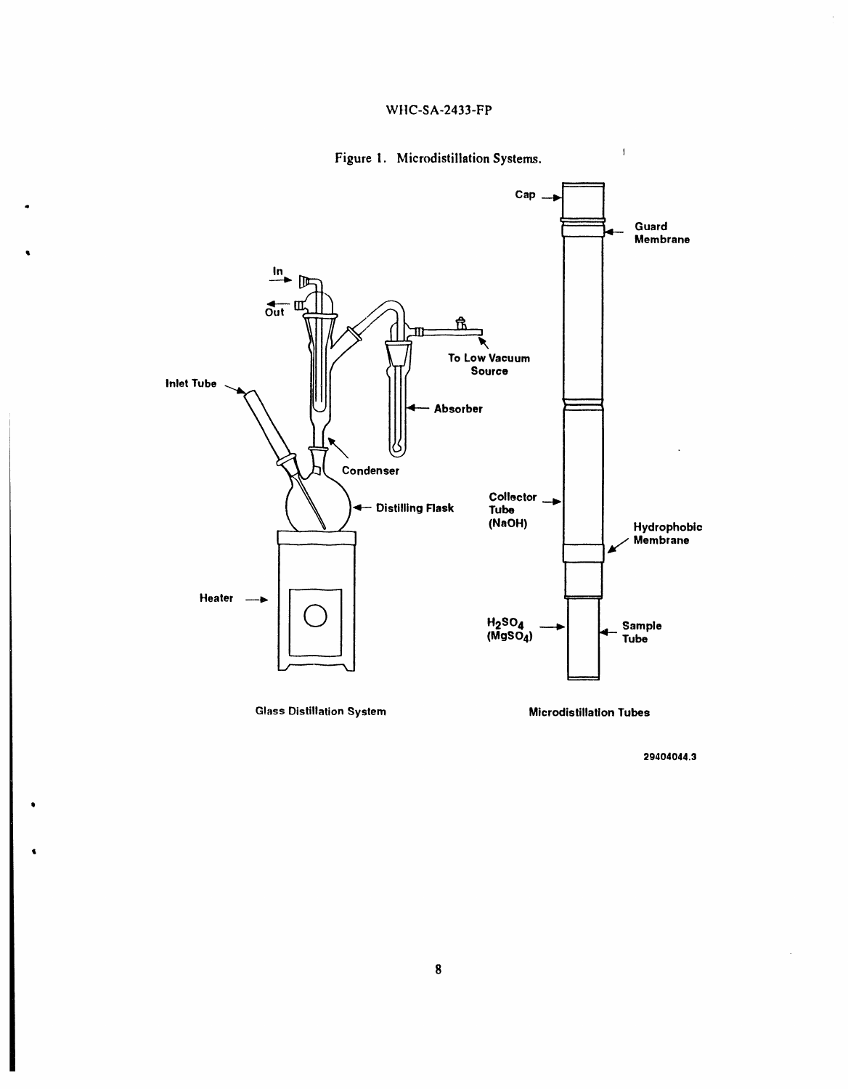# Figure 1. Microdistillation Systems.



29404044.3

 $\cdot$ 

 $\bar{1}$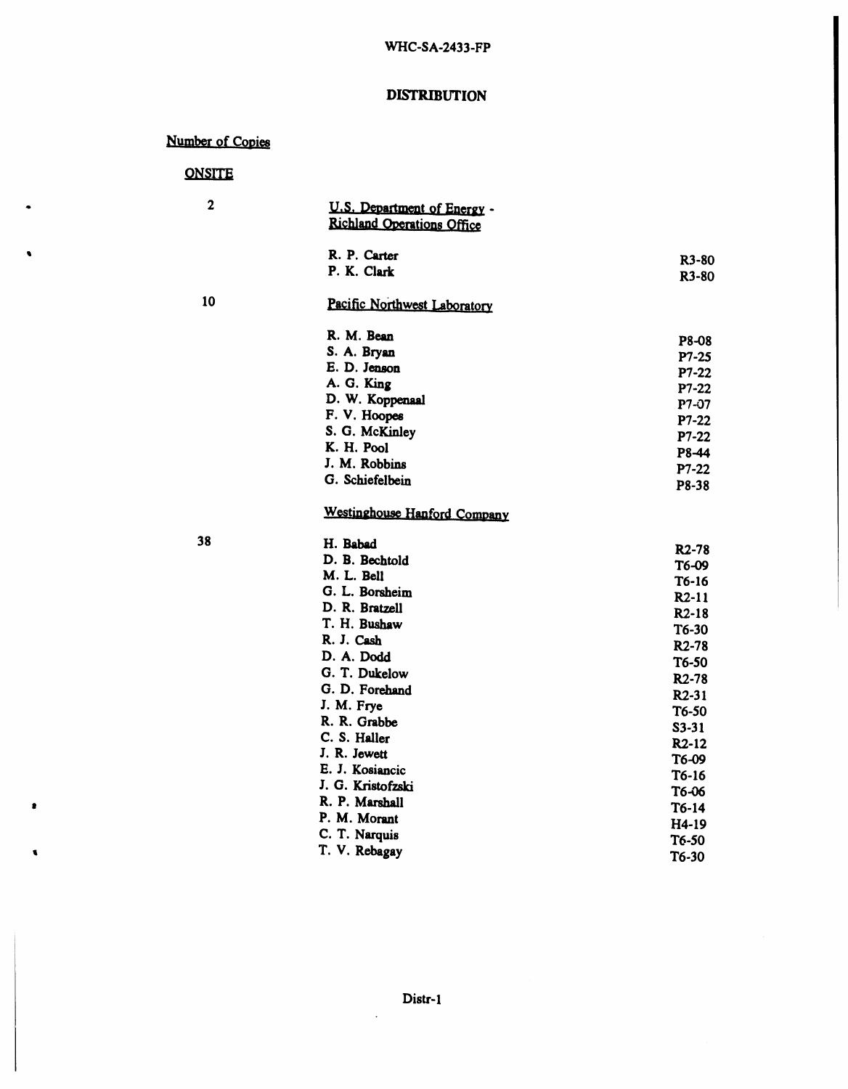### **DISTRIBUTION**

# **Number of Co***v***ies ONSITE** 2 **U.S.** Department of Energy -**Richland** Operations Office • **R**.**P**. C**art**e**r R**3**-80 P. K.** C**lark R**3**-80** 10 **Pacific Northwest Laboratory** R. M. **Bean P8-08 S.** A. Bryan<br> **E.** D. Jenson<br> **P7-25 E. D. J**e**nson P7-22 A. G. King P7-22 D. W. Koppenaal P7-07**<br>**P. V. Hoopes P7-07 F. V. Hoop**e**s P7-22 S. G. McKinl**e**y P7-22 K. H. Pool P8-44**<br> **J. M. Robbins P8-44 J. M. Robbins P7-22 G. Schi**efe**lb**e**in P8-**3**8 Westinghouse Hanford Company** 3**8 H. Babad R2-78 D.** B**. B**e**chtold T**6**-09 M. L. Bell T**6-16<br> **G. L. Borsheim P**2.11 **G. L. Borsh**e**im R2-11 D. R. Bratz**e**ll R***2***-18 T. H. Bushaw T6-**3**0 R. J.** Cash **R2-78**<br> **D.** A. Dodd **T6.50 D. A. Dodd T**6**-**5**0 G. T. Duk**el**o**w **R2-78 G. D. For**e**hand R2-**3**1 J. M. Fry**e **T**6**-**5**0 R. R. CLAUDE \$3-3**1 C**. S. Hail**e**r R2-12 1. R. Jewett T6**-09<br>**E. J. Kosiancic T6**-09 **E. J. Kosiancic T**6**-1**6 **J. G. Kristofzski T**6**-0**6 **. R.P. R.P. R.P. R.P. R.P. R.P. R.P. R.P. R.P. R.P. R.P. R.P. R.P. R.P. R.P. R.P. R.P. R.P. R.P. R.P. R.P. R.P. R.P. R.P. R.P. R.P. R.P. R.P. R.P. R.P. R.P. P. M. Morant H4-19**<br> **C. T. Narquis H4-19 C**. **T.** N**arquis T**6**-**5**0**

• **T.V. R**e**bagay T**6**-**3**0**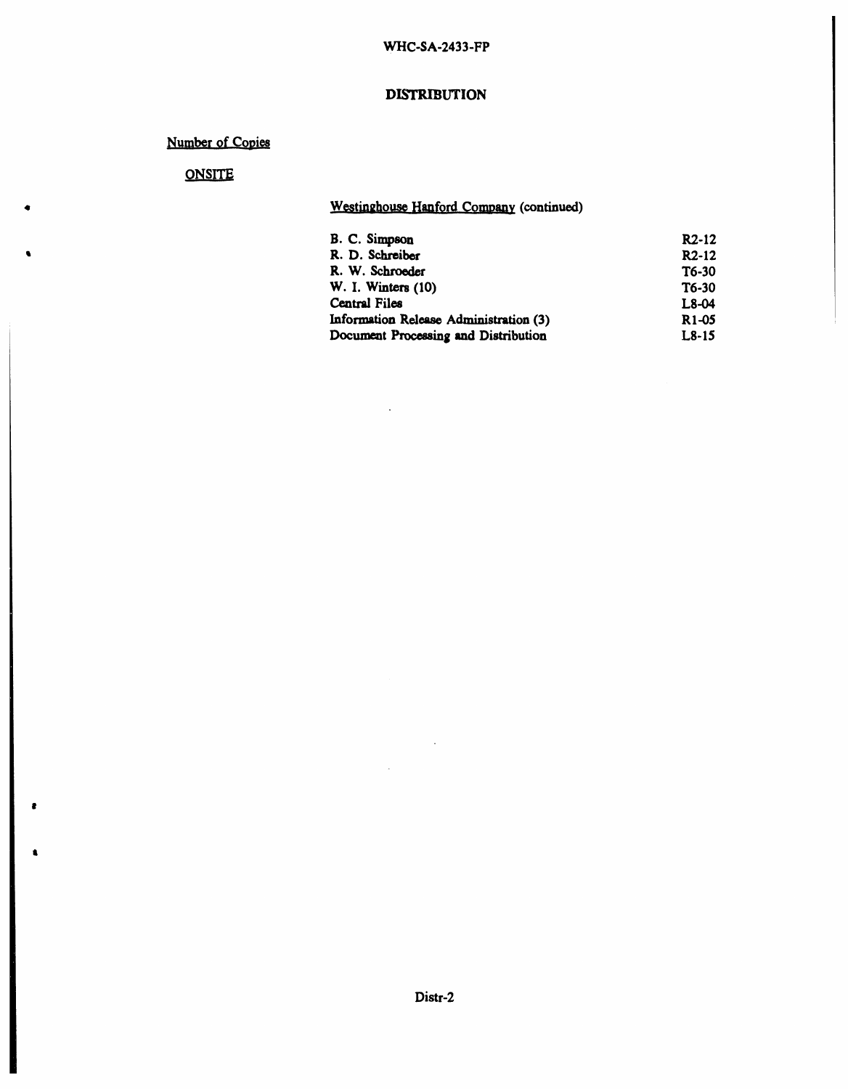### **DISTRIBUTION**

# **Number of Co***v***ies**

# ONSITE

 $\bullet$ 

 $\blacksquare$ 

,**, Westin2ho¢\_ ]-Ianf0rd**Corn.**any**(cont**inu**e**d)**

| B. C. Simpson                          | $R2-12$            |
|----------------------------------------|--------------------|
| R. D. Schreiber                        | $R2-12$            |
| R. W. Schroeder                        | $T6-30$            |
| W. I. Winters $(10)$                   | T6-30              |
| <b>Central Files</b>                   | $L8-04$            |
| Information Release Administration (3) | R <sub>1</sub> -05 |
| Document Processing and Distribution   | $L8-15$            |
|                                        |                    |

 $\cdot$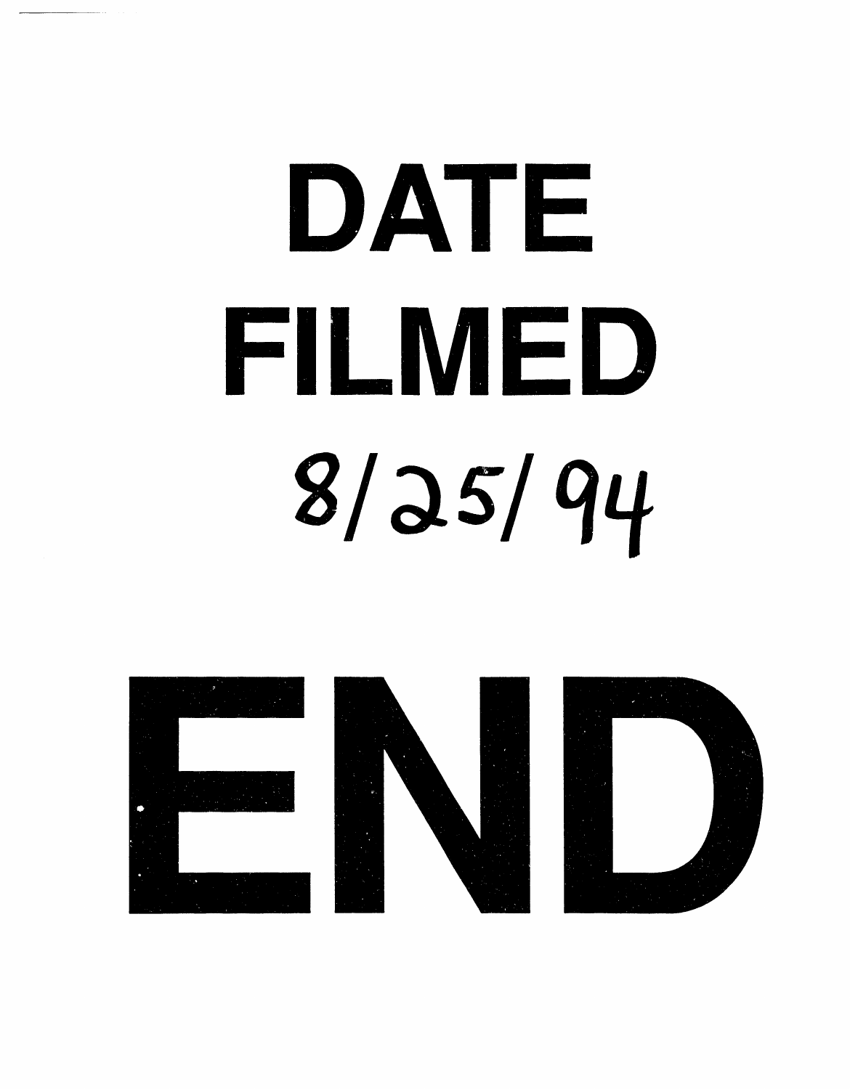# DATE FILMED  $8/25/94$